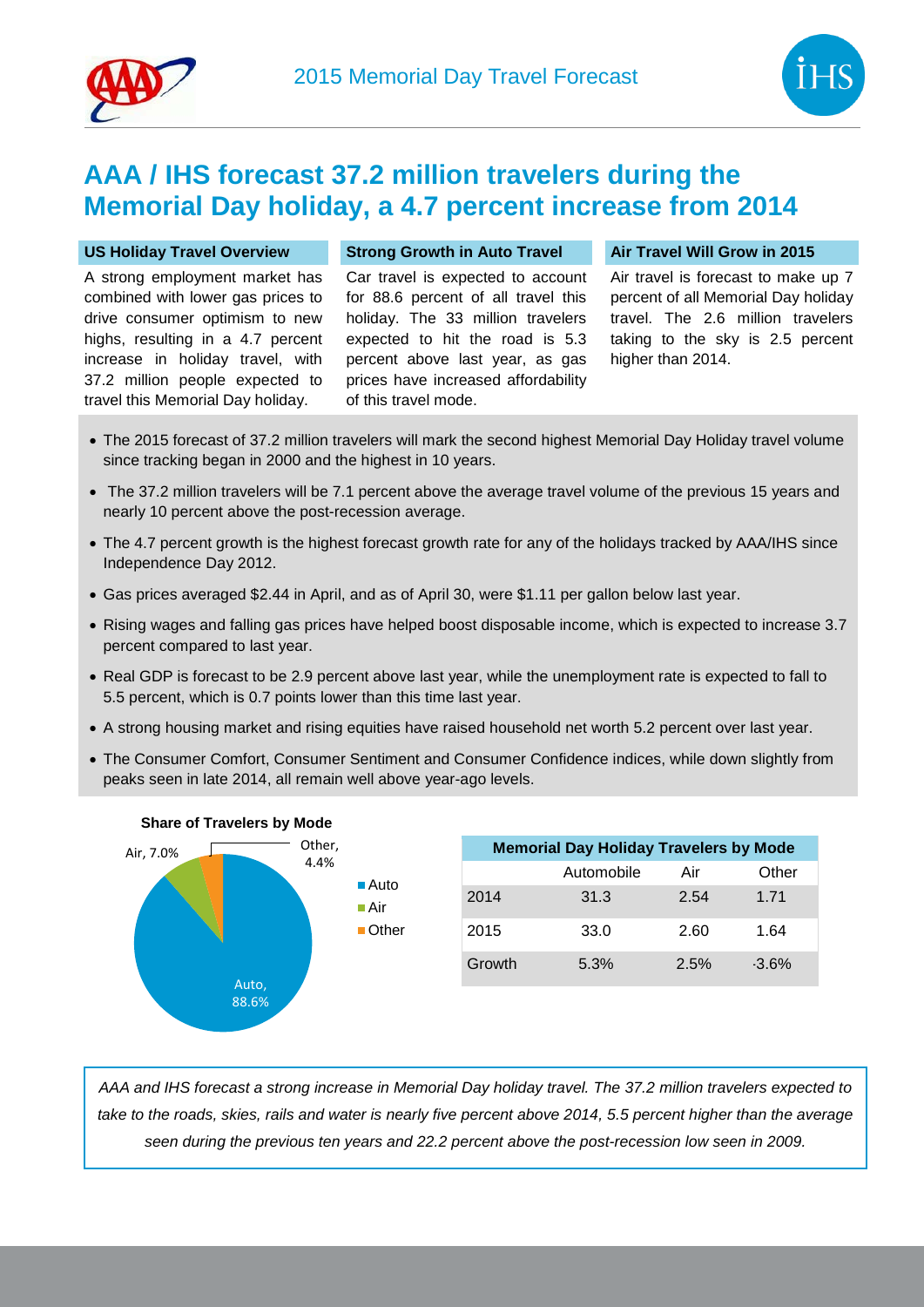

## **AAA / IHS forecast 37.2 million travelers during the Memorial Day holiday, a 4.7 percent increase from 2014**

A strong employment market has combined with lower gas prices to drive consumer optimism to new highs, resulting in a 4.7 percent increase in holiday travel, with 37.2 million people expected to travel this Memorial Day holiday.

Car travel is expected to account for 88.6 percent of all travel this holiday. The 33 million travelers expected to hit the road is 5.3 percent above last year, as gas prices have increased affordability of this travel mode.

## **US Holiday Travel Overview Strong Growth in Auto Travel Air Travel Will Grow in 2015**

Air travel is forecast to make up 7 percent of all Memorial Day holiday travel. The 2.6 million travelers taking to the sky is 2.5 percent higher than 2014.

- The 2015 forecast of 37.2 million travelers will mark the second highest Memorial Day Holiday travel volume since tracking began in 2000 and the highest in 10 years.
- The 37.2 million travelers will be 7.1 percent above the average travel volume of the previous 15 years and nearly 10 percent above the post-recession average.
- The 4.7 percent growth is the highest forecast growth rate for any of the holidays tracked by AAA/IHS since Independence Day 2012.
- Gas prices averaged \$2.44 in April, and as of April 30, were \$1.11 per gallon below last year.
- Rising wages and falling gas prices have helped boost disposable income, which is expected to increase 3.7 percent compared to last year.
- Real GDP is forecast to be 2.9 percent above last year, while the unemployment rate is expected to fall to 5.5 percent, which is 0.7 points lower than this time last year.
- A strong housing market and rising equities have raised household net worth 5.2 percent over last year.
- The Consumer Comfort, Consumer Sentiment and Consumer Confidence indices, while down slightly from peaks seen in late 2014, all remain well above year-ago levels.



| <b>Memorial Day Holiday Travelers by Mode</b> |            |      |          |
|-----------------------------------------------|------------|------|----------|
|                                               | Automobile | Air  | Other    |
| 2014                                          | 31.3       | 2.54 | 1.71     |
| 2015                                          | 33.0       | 2.60 | 1.64     |
| Growth                                        | 5.3%       | 2.5% | $-3.6\%$ |

*AAA and IHS forecast a strong increase in Memorial Day holiday travel. The 37.2 million travelers expected to take to the roads, skies, rails and water is nearly five percent above 2014, 5.5 percent higher than the average seen during the previous ten years and 22.2 percent above the post-recession low seen in 2009.*